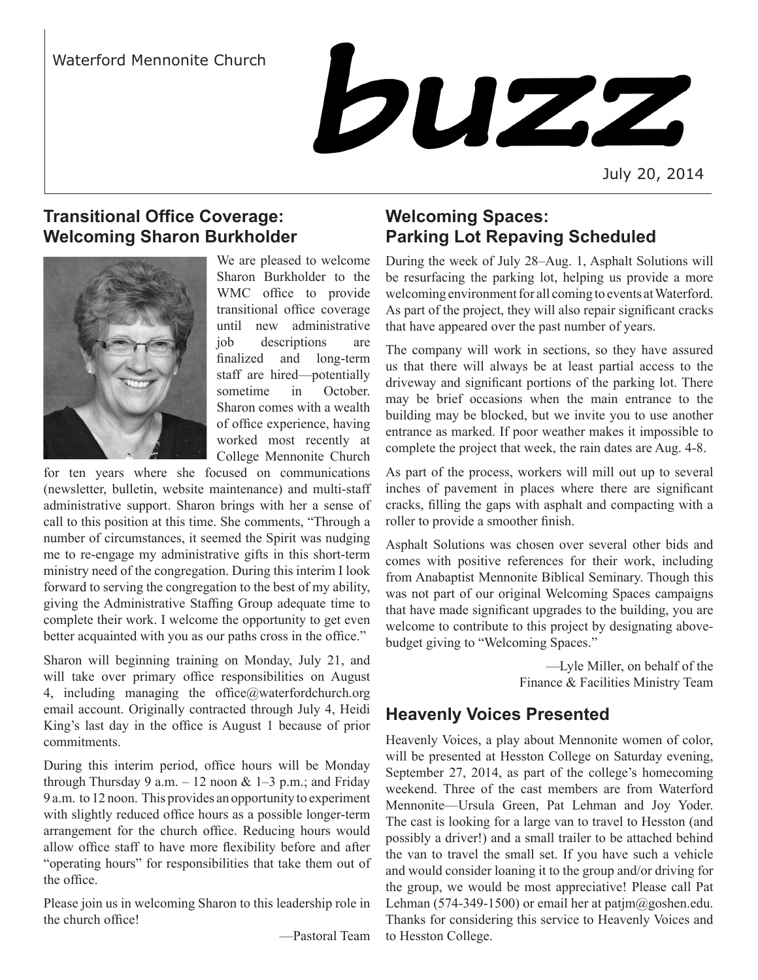# Waterford Mennonite Church



July 20, 2014

# **Transitional Office Coverage: Welcoming Sharon Burkholder**



We are pleased to welcome Sharon Burkholder to the WMC office to provide transitional office coverage until new administrative job descriptions are finalized and long-term staff are hired—potentially sometime in October. Sharon comes with a wealth of office experience, having worked most recently at College Mennonite Church

for ten years where she focused on communications (newsletter, bulletin, website maintenance) and multi-staff administrative support. Sharon brings with her a sense of call to this position at this time. She comments, "Through a number of circumstances, it seemed the Spirit was nudging me to re-engage my administrative gifts in this short-term ministry need of the congregation. During this interim I look forward to serving the congregation to the best of my ability, giving the Administrative Staffing Group adequate time to complete their work. I welcome the opportunity to get even better acquainted with you as our paths cross in the office."

Sharon will beginning training on Monday, July 21, and will take over primary office responsibilities on August 4, including managing the office $@$ waterfordchurch.org email account. Originally contracted through July 4, Heidi King's last day in the office is August 1 because of prior commitments.

During this interim period, office hours will be Monday through Thursday 9 a.m.  $-12$  noon & 1–3 p.m.; and Friday 9 a.m. to 12 noon. This provides an opportunity to experiment with slightly reduced office hours as a possible longer-term arrangement for the church office. Reducing hours would allow office staff to have more flexibility before and after "operating hours" for responsibilities that take them out of the office.

Please join us in welcoming Sharon to this leadership role in the church office!

—Pastoral Team

# **Welcoming Spaces: Parking Lot Repaving Scheduled**

During the week of July 28–Aug. 1, Asphalt Solutions will be resurfacing the parking lot, helping us provide a more welcoming environment for all coming to events at Waterford. As part of the project, they will also repair significant cracks that have appeared over the past number of years.

The company will work in sections, so they have assured us that there will always be at least partial access to the driveway and significant portions of the parking lot. There may be brief occasions when the main entrance to the building may be blocked, but we invite you to use another entrance as marked. If poor weather makes it impossible to complete the project that week, the rain dates are Aug. 4-8.

As part of the process, workers will mill out up to several inches of pavement in places where there are significant cracks, filling the gaps with asphalt and compacting with a roller to provide a smoother finish.

Asphalt Solutions was chosen over several other bids and comes with positive references for their work, including from Anabaptist Mennonite Biblical Seminary. Though this was not part of our original Welcoming Spaces campaigns that have made significant upgrades to the building, you are welcome to contribute to this project by designating abovebudget giving to "Welcoming Spaces."

> —Lyle Miller, on behalf of the Finance & Facilities Ministry Team

# **Heavenly Voices Presented**

Heavenly Voices, a play about Mennonite women of color, will be presented at Hesston College on Saturday evening, September 27, 2014, as part of the college's homecoming weekend. Three of the cast members are from Waterford Mennonite—Ursula Green, Pat Lehman and Joy Yoder. The cast is looking for a large van to travel to Hesston (and possibly a driver!) and a small trailer to be attached behind the van to travel the small set. If you have such a vehicle and would consider loaning it to the group and/or driving for the group, we would be most appreciative! Please call Pat Lehman (574-349-1500) or email her at patjm $@$ goshen.edu. Thanks for considering this service to Heavenly Voices and to Hesston College.